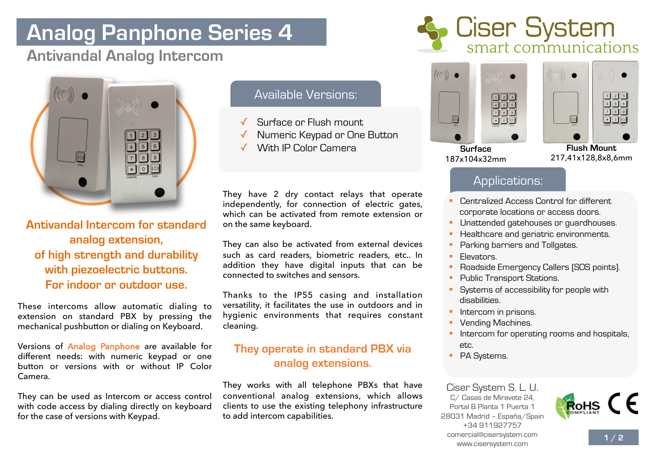# **Analog Panphone Series 4**

## **Antivandal Analog Intercom**



**Antivandal Intercom for standard analog extension, of high strength and durability with piezoelectric buttons. For indoor or outdoor use.** 

These intercoms allow automatic dialing to extension on standard PBX by pressing the mechanical pushbutton or dialing on Keyboard.

Versions of Analog Panphone are available for different needs: with numeric keypad or one button or versions with or without IP Color Camera.

They can be used as Intercom or access control with code access by dialing directly on keyboard for the case of versions with Keypad.

### Available Versions:

- Surface or Flush mount.
- ✓ Numeric Keypad or One Button
- With IP Color Camera **Flush Mount**

They have 2 dry contact relays that operate independently, for connection of electric gates, which can be activated from remote extension or on the same keyboard.

They can also be activated from external devices such as card readers, biometric readers, etc.. In addition they have digital inputs that can be connected to switches and sensors.

Thanks to the IP55 casing and installation versatility, it facilitates the use in outdoors and in hygienic environments that requires constant cleaning.

#### **They operate in standard PBX via analog extensions.**

They works with all telephone PBXs that have conventional analog extensions, which allows clients to use the existing telephony infrastructure to add intercom capabilities.





| ö    | $\circ$<br>o                                                                   |
|------|--------------------------------------------------------------------------------|
| CALL | $\cdot$ <sub>3</sub><br>$\overline{c}$<br>6<br>Ğ<br>8<br><b>CALL</b><br>CANCEL |
|      | ×<br>m                                                                         |

**Surface** 187x104x32mm

217,41x128,8x8,6mm

### Applications:

- § Centralized Access Control for different corporate locations or access doors.
- § Unattended gatehouses or guardhouses.
- Healthcare and geriatric environments.
- Parking barriers and Tollgates.
- § Elevators.
- § Roadside Emergency Callers (SOS points).
- § Public Transport Stations.
- Systems of accessibility for people with disabilities.
- § Intercom in prisons.
- § Vending Machines.
- Intercom for operating rooms and hospitals, etc.
- PA Systems.

Ciser System S. L. U. C/ Casas de Miravete 24, Portal B Planta 1 Puerta 1 28031 Madrid – España/Spain +34 911927757 comercial@cisersystem.com www.cisersystem.com